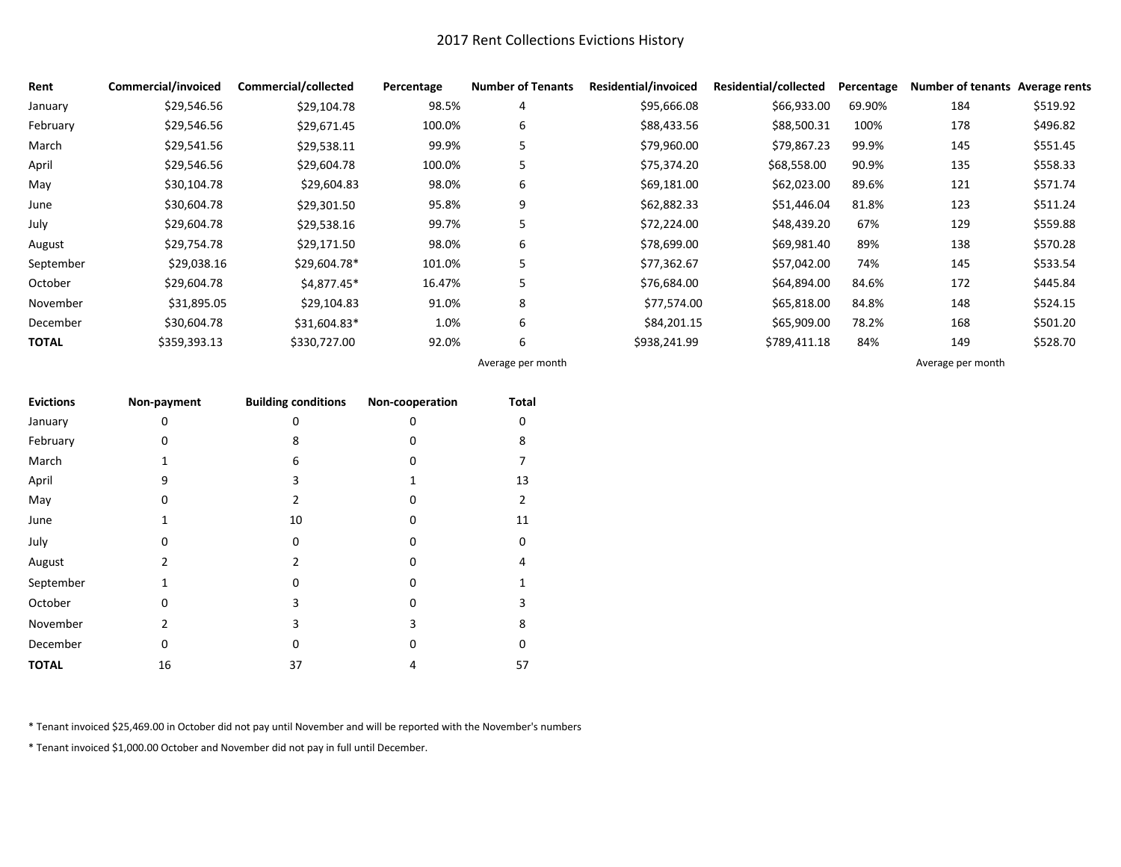## 2017 Rent Collections Evictions History

| Rent         | Commercial/invoiced | Commercial/collected | Percentage | <b>Number of Tenants</b> | Residential/invoiced | <b>Residential/collected</b> | Percentage | Number of tenants Average rents |          |
|--------------|---------------------|----------------------|------------|--------------------------|----------------------|------------------------------|------------|---------------------------------|----------|
| January      | \$29,546.56         | \$29,104.78          | 98.5%      | 4                        | \$95,666.08          | \$66,933.00                  | 69.90%     | 184                             | \$519.92 |
| February     | \$29,546.56         | \$29,671.45          | 100.0%     | 6                        | \$88,433.56          | \$88,500.31                  | 100%       | 178                             | \$496.82 |
| March        | \$29,541.56         | \$29,538.11          | 99.9%      | 5                        | \$79,960.00          | \$79,867.23                  | 99.9%      | 145                             | \$551.45 |
| April        | \$29,546.56         | \$29,604.78          | 100.0%     | 5                        | \$75,374.20          | \$68,558.00                  | 90.9%      | 135                             | \$558.33 |
| May          | \$30,104.78         | \$29,604.83          | 98.0%      | 6                        | \$69,181.00          | \$62,023.00                  | 89.6%      | 121                             | \$571.74 |
| June         | \$30,604.78         | \$29,301.50          | 95.8%      | 9                        | \$62,882.33          | \$51,446.04                  | 81.8%      | 123                             | \$511.24 |
| July         | \$29,604.78         | \$29,538.16          | 99.7%      | 5                        | \$72,224.00          | \$48,439.20                  | 67%        | 129                             | \$559.88 |
| August       | \$29,754.78         | \$29,171.50          | 98.0%      | 6                        | \$78,699.00          | \$69,981.40                  | 89%        | 138                             | \$570.28 |
| September    | \$29,038.16         | \$29,604.78*         | 101.0%     | 5                        | \$77,362.67          | \$57,042.00                  | 74%        | 145                             | \$533.54 |
| October      | \$29,604.78         | \$4,877.45*          | 16.47%     | 5                        | \$76,684.00          | \$64,894.00                  | 84.6%      | 172                             | \$445.84 |
| November     | \$31,895.05         | \$29,104.83          | 91.0%      | 8                        | \$77,574.00          | \$65,818.00                  | 84.8%      | 148                             | \$524.15 |
| December     | \$30,604.78         | \$31,604.83*         | 1.0%       | 6                        | \$84,201.15          | \$65,909.00                  | 78.2%      | 168                             | \$501.20 |
| <b>TOTAL</b> | \$359,393.13        | \$330,727.00         | 92.0%      | 6                        | \$938,241.99         | \$789,411.18                 | 84%        | 149                             | \$528.70 |
|              |                     |                      |            | Average per month        |                      |                              |            | Average per month               |          |

| <b>Evictions</b> | Non-payment  | <b>Building conditions</b> | Non-cooperation | Total |
|------------------|--------------|----------------------------|-----------------|-------|
| January          | 0            | 0                          | 0               |       |
| February         | O            | 8                          | o               | 8     |
| March            | 1            | 6                          | 0               |       |
| April            | 9            | 3                          |                 | 13    |
| May              | O            | $\overline{2}$             | O               | 2     |
| June             | 1            | 10                         | 0               | 11    |
| July             | 0            | 0                          | 0               | 0     |
| August           | 2            | 2                          | 0               | 4     |
| September        | 1            | O                          | O               |       |
| October          | <sup>0</sup> | 3                          | 0               | 3     |
| November         | 2            | 3                          | 3               | 8     |
| December         | 0            | 0                          | 0               | o     |
| <b>TOTAL</b>     | 16           | 37                         | 4               | 57    |

\* Tenant invoiced \$25,469.00 in October did not pay until November and will be reported with the November's numbers

\* Tenant invoiced \$1,000.00 October and November did not pay in full until December.